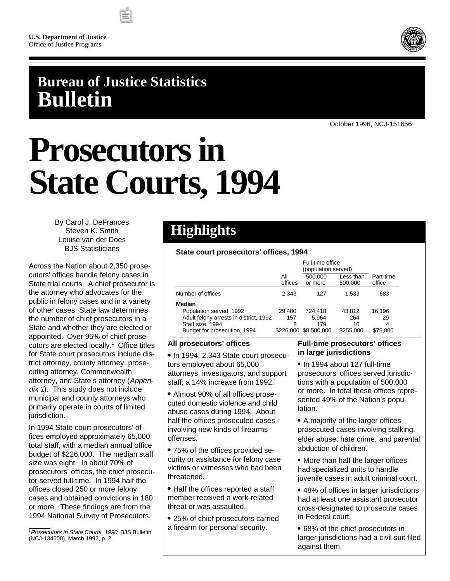

# **Bureau of Justice Statistics Bulletin**

October 1996, NCJ-151656

# **Prosecutors in State Courts, 1994**

By Carol J. DeFrances Steven K. Smith Louise van der Does BJS Statisticians

Across the Nation about 2,350 prosecutors' offices handle felony cases in State trial courts. A chief prosecutor is the attorney who advocates for the public in felony cases and in a variety of other cases. State law determines the number of chief prosecutors in a State and whether they are elected or appointed. Over 95% of chief prosecutors are elected locally.<sup>1</sup> Office titles for State court prosecutors include district attorney, county attorney, prosecuting attorney, Commonwealth attorney, and State's attorney (Appendix 1). This study does not include municipal and county attorneys who primarily operate in courts of limited jurisdiction.

In 1994 State court prosecutors' offices employed approximately 65,000 total staff, with a median annual office budget of \$226,000. The median staff size was eight. In about 70% of prosecutors' offices, the chief prosecutor served full time. In 1994 half the offices closed 250 or more felony cases and obtained convictions in 180 or more. These findings are from the 1994 National Survey of Prosecutors,

# **Highlights**

# **State court prosecutors' offices, 1994**

|                                        | All<br>offices | 500,000<br>or more | Less than<br>500,000 | Part-time<br>office |
|----------------------------------------|----------------|--------------------|----------------------|---------------------|
| Number of offices                      | 2.343          | 127                | 1.533                | 683                 |
| Median                                 |                |                    |                      |                     |
| Population served, 1992                | 29.480         | 724.418            | 43.812               | 16.196              |
| Adult felony arrests in district, 1992 | 157            | 5.964              | 264                  | 29                  |
| Staff size, 1994                       | 8              | 179                | 10                   | 4                   |
| Budget for prosecution, 1994           | \$226,000      | \$8,500,000        | \$255,000            | \$75,000            |

# **All prosecutors' offices**

• In 1994, 2,343 State court prosecutors employed about 65,000 attorneys, investigators, and support staff; a 14% increase from 1992.

 Almost 90% of all offices prosecuted domestic violence and child abuse cases during 1994. About half the offices prosecuted cases involving new kinds of firearms offenses.

 75% of the offices provided security or assistance for felony case victims or witnesses who had been threatened.

• Half the offices reported a staff member received a work-related threat or was assaulted.

 25% of chief prosecutors carried a firearm for personal security.

# **Full-time prosecutors' offices in large jurisdictions**

• In 1994 about 127 full-time prosecutors' offices served jurisdictions with a population of 500,000 or more. In total these offices represented 49% of the Nation's population.

• A majority of the larger offices prosecuted cases involving stalking, elder abuse, hate crime, and parental abduction of children.

• More than half the larger offices had specialized units to handle juvenile cases in adult criminal court.

- 48% of offices in larger jurisdictions had at least one assistant prosecutor cross-designated to prosecute cases in Federal court.
- 68% of the chief prosecutors in larger jurisdictions had a civil suit filed against them.

<sup>&</sup>lt;sup>1</sup> Prosecutors in State Courts, 1990, BJS Bulletin (NCJ-134500), March 1992, p. 2.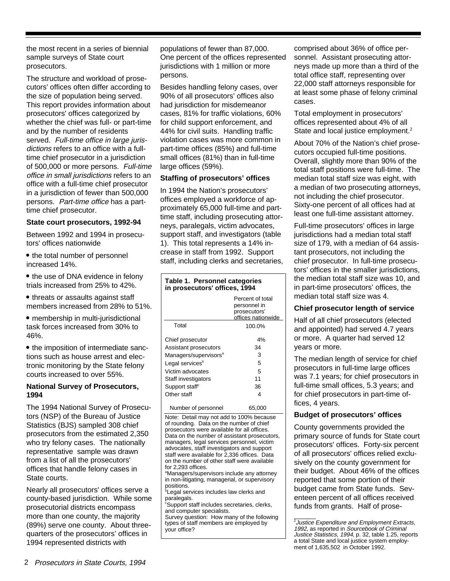the most recent in a series of biennial sample surveys of State court prosecutors.

The structure and workload of prosecutors' offices often differ according to the size of population being served. This report provides information about prosecutors' offices categorized by whether the chief was full- or part-time and by the number of residents served. Full-time office in large jurisdictions refers to an office with a fulltime chief prosecutor in a jurisdiction of 500,000 or more persons. Full-time office in small jurisdictions refers to an office with a full-time chief prosecutor in a jurisdiction of fewer than 500,000 persons. Part-time office has a parttime chief prosecutor.

## **State court prosecutors, 1992-94**

Between 1992 and 1994 in prosecutors' offices nationwide

- the total number of personnel increased 14%.
- the use of DNA evidence in felony trials increased from 25% to 42%.
- threats or assaults against staff members increased from 28% to 51%.
- membership in multi-jurisdictional task forces increased from 30% to 46%.

• the imposition of intermediate sanctions such as house arrest and electronic monitoring by the State felony courts increased to over 55%.

# **National Survey of Prosecutors, 1994**

The 1994 National Survey of Prosecutors (NSP) of the Bureau of Justice Statistics (BJS) sampled 308 chief prosecutors from the estimated 2,350 who try felony cases. The nationally representative sample was drawn from a list of all the prosecutors' offices that handle felony cases in State courts.

Nearly all prosecutors' offices serve a county-based jurisdiction. While some prosecutorial districts encompass more than one county, the majority (89%) serve one county. About threequarters of the prosecutors' offices in 1994 represented districts with

populations of fewer than 87,000. One percent of the offices represented jurisdictions with 1 million or more persons.

Besides handling felony cases, over 90% of all prosecutors' offices also had jurisdiction for misdemeanor cases, 81% for traffic violations, 60% for child support enforcement, and 44% for civil suits. Handling traffic violation cases was more common in part-time offices (85%) and full-time small offices (81%) than in full-time large offices (59%).

# **Staffing of prosecutors' offices**

In 1994 the Nation's prosecutors' offices employed a workforce of approximately 65,000 full-time and parttime staff, including prosecuting attorneys, paralegals, victim advocates, support staff, and investigators (table 1). This total represents a 14% increase in staff from 1992. Support staff, including clerks and secretaries,

#### **Table 1. Personnel categories in prosecutors' offices, 1994**

|                                   | Percent of total<br>personnel in<br>prosecutors'<br>offices nationwide |
|-----------------------------------|------------------------------------------------------------------------|
| Total                             | 100.0%                                                                 |
| Chief prosecutor                  | 4%                                                                     |
| Assistant prosecutors             | 34                                                                     |
| Managers/supervisors <sup>a</sup> | 3                                                                      |
| Legal services <sup>b</sup>       | 5                                                                      |
| Victim advocates                  | 5                                                                      |
| Staff investigators               | 11                                                                     |
| Support staff <sup>c</sup>        | 36                                                                     |
| Other staff                       | 4                                                                      |
| Number of personnel               | 65,000                                                                 |

Note: Detail may not add to 100% because of rounding. Data on the number of chief prosecutors were available for all offices. Data on the number of assistant prosecutors, managers, legal services personnel, victim advocates, staff investigators and support staff were available for 2,336 offices. Data on the number of other staff were available for 2,293 offices.

<sup>a</sup>Managers/supervisors include any attorney in non-litigating, managerial, or supervisory positions. b

Legal services includes law clerks and paralegals.

<sup>c</sup>Support staff includes secretaries, clerks, and computer specialists.

Survey question: How many of the following types of staff members are employed by your office?

comprised about 36% of office personnel. Assistant prosecuting attorneys made up more than a third of the total office staff, representing over 22,000 staff attorneys responsible for at least some phase of felony criminal cases.

Total employment in prosecutors' offices represented about 4% of all State and local justice employment.<sup>2</sup>

About 70% of the Nation's chief prosecutors occupied full-time positions. Overall, slightly more than 90% of the total staff positions were full-time. The median total staff size was eight, with a median of two prosecuting attorneys, not including the chief prosecutor. Sixty-one percent of all offices had at least one full-time assistant attorney.

Full-time prosecutors' offices in large jurisdictions had a median total staff size of 179, with a median of 64 assistant prosecutors, not including the chief prosecutor. In full-time prosecutors' offices in the smaller jurisdictions, the median total staff size was 10, and in part-time prosecutors' offices, the median total staff size was 4.

# **Chief prosecutor length of service**

Half of all chief prosecutors (elected and appointed) had served 4.7 years or more. A quarter had served 12 years or more.

The median length of service for chief prosecutors in full-time large offices was 7.1 years; for chief prosecutors in full-time small offices, 5.3 years; and for chief prosecutors in part-time offices, 4 years.

# **Budget of prosecutors' offices**

County governments provided the primary source of funds for State court prosecutors' offices. Forty-six percent of all prosecutors' offices relied exclusively on the county government for their budget. About 46% of the offices reported that some portion of their budget came from State funds. Seventeen percent of all offices received funds from grants. Half of prose-

<sup>&</sup>lt;sup>2</sup> Justice Expenditure and Employment Extracts, 1992, as reported in Sourcebook of Criminal Justice Statistics, 1994, p. 32, table 1.25, reports a total State and local justice system employment of 1,635,502 in October 1992.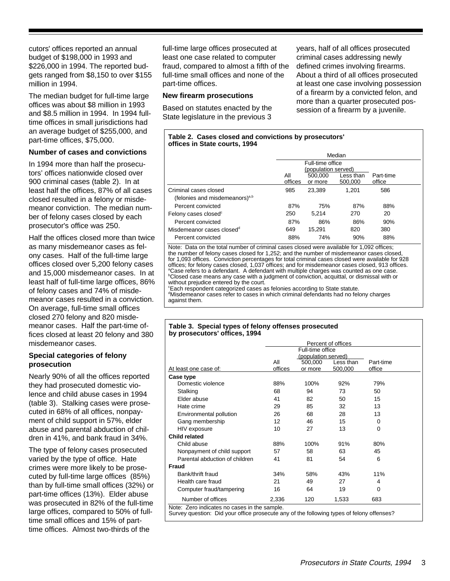cutors' offices reported an annual budget of \$198,000 in 1993 and \$226,000 in 1994. The reported budgets ranged from \$8,150 to over \$155 million in 1994.

The median budget for full-time large offices was about \$8 million in 1993 and \$8.5 million in 1994. In 1994 fulltime offices in small jurisdictions had an average budget of \$255,000, and part-time offices, \$75,000.

# **Number of cases and convictions**

In 1994 more than half the prosecutors' offices nationwide closed over 900 criminal cases (table 2). In at least half the offices, 87% of all cases closed resulted in a felony or misdemeanor conviction. The median number of felony cases closed by each prosecutor's office was 250.

Half the offices closed more than twice as many misdemeanor cases as felony cases. Half of the full-time large offices closed over 5,200 felony cases and 15,000 misdemeanor cases. In at least half of full-time large offices, 86% of felony cases and 74% of misdemeanor cases resulted in a conviction. On average, full-time small offices closed 270 felony and 820 misdemeanor cases. Half the part-time offices closed at least 20 felony and 380 misdemeanor cases.

# **Special categories of felony prosecution**

Nearly 90% of all the offices reported they had prosecuted domestic violence and child abuse cases in 1994 (table 3). Stalking cases were prosecuted in 68% of all offices, nonpayment of child support in 57%, elder abuse and parental abduction of children in 41%, and bank fraud in 34%.

The type of felony cases prosecuted varied by the type of office. Hate crimes were more likely to be prosecuted by full-time large offices (85%) than by full-time small offices (32%) or part-time offices (13%). Elder abuse was prosecuted in 82% of the full-time large offices, compared to 50% of fulltime small offices and 15% of parttime offices. Almost two-thirds of the

full-time large offices prosecuted at least one case related to computer fraud, compared to almost a fifth of the full-time small offices and none of the part-time offices.

# **New firearm prosecutions**

Based on statutes enacted by the State legislature in the previous 3 years, half of all offices prosecuted criminal cases addressing newly defined crimes involving firearms. About a third of all offices prosecuted at least one case involving possession of a firearm by a convicted felon, and more than a quarter prosecuted possession of a firearm by a juvenile.

| Table 2. Cases closed and convictions by prosecutors' |
|-------------------------------------------------------|
| offices in State courts, 1994                         |

|                                                                     |                | Median                                    |                      |                     |  |  |  |
|---------------------------------------------------------------------|----------------|-------------------------------------------|----------------------|---------------------|--|--|--|
|                                                                     |                | Full-time office                          |                      |                     |  |  |  |
|                                                                     | All<br>offices | (population served)<br>500,000<br>or more | Less than<br>500.000 | Part-time<br>office |  |  |  |
| Criminal cases closed<br>(felonies and misdemeanors) <sup>a,b</sup> | 985            | 23.389                                    | 1.201                | 586                 |  |  |  |
| Percent convicted                                                   | 87%            | 75%                                       | 87%                  | 88%                 |  |  |  |
| Felony cases closed <sup>c</sup>                                    | 250            | 5.214                                     | 270                  | 20                  |  |  |  |
| Percent convicted                                                   | 87%            | 86%                                       | 86%                  | 90%                 |  |  |  |
| Misdemeanor cases closed <sup>d</sup>                               | 649            | 15.291                                    | 820                  | 380                 |  |  |  |
| Percent convicted                                                   | 88%            | 74%                                       | 90%                  | 88%                 |  |  |  |

Note: Data on the total number of criminal cases closed were available for 1,092 offices; the number of felony cases closed for 1,252; and the number of misdemeanor cases closed, for 1,093 offices. Conviction percentages for total criminal cases closed were available for 928 offices; for felony cases closed, 1,037 offices; and for misdemeanor cases closed, 913 offices. a Case refers to a defendant. A defendant with multiple charges was counted as one case. b Closed case means any case with a judgment of conviction, acquittal, or dismissal with or without prejudice entered by the court.

**Each respondent categorized cases as felonies according to State statute.** <sup>d</sup>Misdemeanor cases refer to cases in which criminal defendants had no felony charges against them.

#### **Table 3. Special types of felony offenses prosecuted by prosecutors' offices, 1994**

|                                |         | Percent of offices<br>Full-time office<br>(population served) |           |           |  |  |
|--------------------------------|---------|---------------------------------------------------------------|-----------|-----------|--|--|
|                                | All     | 500,000                                                       | Less than | Part-time |  |  |
| At least one case of:          | offices | or more                                                       | 500,000   | office    |  |  |
| Case type                      |         |                                                               |           |           |  |  |
| Domestic violence              | 88%     | 100%                                                          | 92%       | 79%       |  |  |
| Stalking                       | 68      | 94                                                            | 73        | 50        |  |  |
| Elder abuse                    | 41      | 82                                                            | 50        | 15        |  |  |
| Hate crime                     | 29      | 85                                                            | 32        | 13        |  |  |
| Environmental pollution        | 26      | 68                                                            | 28        | 13        |  |  |
| Gang membership                | 12      | 46                                                            | 15        | $\Omega$  |  |  |
| HIV exposure                   | 10      | 27                                                            | 13        | 0         |  |  |
| <b>Child related</b>           |         |                                                               |           |           |  |  |
| Child abuse                    | 88%     | 100%                                                          | 91%       | 80%       |  |  |
| Nonpayment of child support    | 57      | 58                                                            | 63        | 45        |  |  |
| Parental abduction of children | 41      | 81                                                            | 54        | 6         |  |  |
| Fraud                          |         |                                                               |           |           |  |  |
| Bank/thrift fraud              | 34%     | 58%                                                           | 43%       | 11%       |  |  |
| Health care fraud              | 21      | 49                                                            | 27        | 4         |  |  |
| Computer fraud/tampering       | 16      | 64                                                            | 19        | $\Omega$  |  |  |
| Number of offices              | 2,336   | 120                                                           | 1,533     | 683       |  |  |

Note: Zero indicates no cases in the sample. Survey question: Did your office prosecute any of the following types of felony offenses?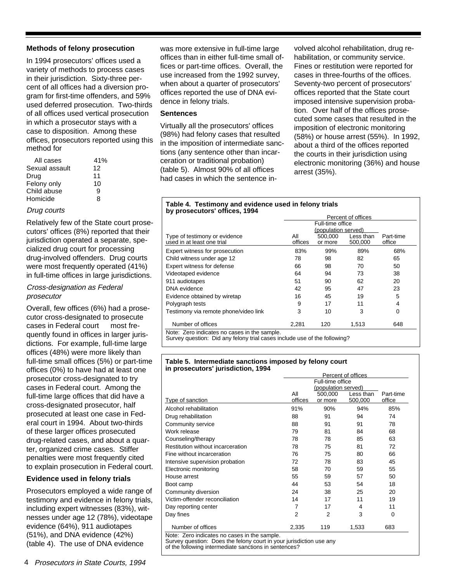# **Methods of felony prosecution**

In 1994 prosecutors' offices used a variety of methods to process cases in their jurisdiction. Sixty-three percent of all offices had a diversion program for first-time offenders, and 59% used deferred prosecution. Two-thirds of all offices used vertical prosecution in which a prosecutor stays with a case to disposition. Among these offices, prosecutors reported using this method for

| All cases      | 41% |
|----------------|-----|
| Sexual assault | 12  |
| Drug           | 11  |
| Felony only    | 10  |
| Child abuse    | Й   |
| Homicide       | 8   |

# Drug courts

Relatively few of the State court prosecutors' offices (8%) reported that their jurisdiction operated a separate, specialized drug court for processing drug-involved offenders. Drug courts were most frequently operated (41%) in full-time offices in large jurisdictions.

## Cross-designation as Federal prosecutor

Overall, few offices (6%) had a prosecutor cross-designated to prosecute cases in Federal court - most frequently found in offices in larger jurisdictions. For example, full-time large offices (48%) were more likely than full-time small offices (5%) or part-time offices (0%) to have had at least one prosecutor cross-designated to try cases in Federal court. Among the full-time large offices that did have a cross-designated prosecutor, half prosecuted at least one case in Federal court in 1994. About two-thirds of these larger offices prosecuted drug-related cases, and about a quarter, organized crime cases. Stiffer penalties were most frequently cited to explain prosecution in Federal court.

# **Evidence used in felony trials**

Prosecutors employed a wide range of testimony and evidence in felony trials, including expert witnesses (83%), witnesses under age 12 (78%), videotape evidence (64%), 911 audiotapes (51%), and DNA evidence (42%) (table 4). The use of DNA evidence

4 Prosecutors in State Courts, 1994

was more extensive in full-time large offices than in either full-time small offices or part-time offices. Overall, the use increased from the 1992 survey, when about a quarter of prosecutors' offices reported the use of DNA evidence in felony trials.

# **Sentences**

Virtually all the prosecutors' offices (98%) had felony cases that resulted in the imposition of intermediate sanctions (any sentence other than incarceration or traditional probation) (table 5). Almost 90% of all offices had cases in which the sentence involved alcohol rehabilitation, drug rehabilitation, or community service. Fines or restitution were reported for cases in three-fourths of the offices. Seventy-two percent of prosecutors' offices reported that the State court imposed intensive supervision probation. Over half of the offices prosecuted some cases that resulted in the imposition of electronic monitoring (58%) or house arrest (55%). In 1992, about a third of the offices reported the courts in their jurisdiction using electronic monitoring (36%) and house arrest (35%).

#### **Table 4. Testimony and evidence used in felony trials by prosecutors' offices, 1994**

| Percent of offices |                    |                      |                                         |  |  |
|--------------------|--------------------|----------------------|-----------------------------------------|--|--|
|                    |                    |                      |                                         |  |  |
|                    |                    |                      |                                         |  |  |
| All<br>offices     | 500,000<br>or more | Less than<br>500,000 | Part-time<br>office                     |  |  |
| 83%                | 99%                | 89%                  | 68%                                     |  |  |
| 78                 | 98                 | 82                   | 65                                      |  |  |
| 66                 | 98                 | 70                   | 50                                      |  |  |
| 64                 | 94                 | 73                   | 38                                      |  |  |
| 51                 | 90                 | 62                   | 20                                      |  |  |
| 42                 | 95                 | 47                   | 23                                      |  |  |
| 16                 | 45                 | 19                   | 5                                       |  |  |
| 9                  | 17                 | 11                   | 4                                       |  |  |
| 3                  | 10                 | 3                    | $\Omega$                                |  |  |
| 2,281              | 120                | 1,513                | 648                                     |  |  |
|                    |                    |                      | Full-time office<br>(population served) |  |  |

Note: Zero indicates no cases in the sample. Survey question: Did any felony trial cases include use of the following?

#### **Table 5. Intermediate sanctions imposed by felony court in prosecutors' jurisdiction, 1994**

|                                   | Percent of offices |                     |           |           |  |  |
|-----------------------------------|--------------------|---------------------|-----------|-----------|--|--|
|                                   | Full-time office   |                     |           |           |  |  |
|                                   |                    | (population served) |           |           |  |  |
|                                   | All                | 500,000             | Less than | Part-time |  |  |
| Type of sanction                  | offices            | or more             | 500,000   | office    |  |  |
| Alcohol rehabilitation            | 91%                | 90%                 | 94%       | 85%       |  |  |
| Drug rehabilitation               | 88                 | 91                  | 94        | 74        |  |  |
| Community service                 | 88                 | 91                  | 91        | 78        |  |  |
| Work release                      | 79                 | 81                  | 84        | 68        |  |  |
| Counseling/therapy                | 78                 | 78                  | 85        | 63        |  |  |
| Restitution without incarceration | 78                 | 75                  | 81        | 72        |  |  |
| Fine without incarceration        | 76                 | 75                  | 80        | 66        |  |  |
| Intensive supervision probation   | 72                 | 78                  | 83        | 45        |  |  |
| Electronic monitoring             | 58                 | 70                  | 59        | 55        |  |  |
| House arrest                      | 55                 | 59                  | 57        | 50        |  |  |
| Boot camp                         | 44                 | 53                  | 54        | 18        |  |  |
| Community diversion               | 24                 | 38                  | 25        | 20        |  |  |
| Victim-offender reconciliation    | 14                 | 17                  | 11        | 19        |  |  |
| Day reporting center              | 7                  | 17                  | 4         | 11        |  |  |
| Day fines                         | $\overline{2}$     | $\overline{2}$      | 3         | $\Omega$  |  |  |
| Number of offices                 | 2,335              | 119                 | 1,533     | 683       |  |  |

Survey question: Does the felony court in your jurisdiction use any of the following intermediate sanctions in sentences?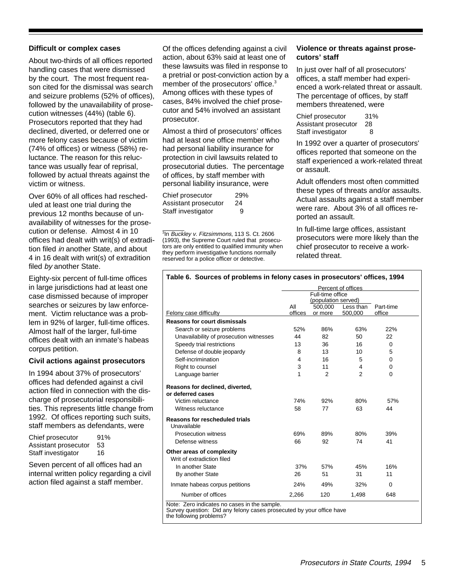## **Difficult or complex cases**

About two-thirds of all offices reported handling cases that were dismissed by the court. The most frequent reason cited for the dismissal was search and seizure problems (52% of offices), followed by the unavailability of prosecution witnesses (44%) (table 6). Prosecutors reported that they had declined, diverted, or deferred one or more felony cases because of victim (74% of offices) or witness (58%) reluctance. The reason for this reluctance was usually fear of reprisal, followed by actual threats against the victim or witness.

Over 60% of all offices had rescheduled at least one trial during the previous 12 months because of unavailability of witnesses for the prosecution or defense. Almost 4 in 10 offices had dealt with writ(s) of extradition filed in another State, and about 4 in 16 dealt with writ(s) of extradition filed by another State.

Eighty-six percent of full-time offices in large jurisdictions had at least one case dismissed because of improper searches or seizures by law enforcement. Victim reluctance was a problem in 92% of larger, full-time offices. Almost half of the larger, full-time offices dealt with an inmate's habeas corpus petition.

## **Civil actions against prosecutors**

In 1994 about 37% of prosecutors' offices had defended against a civil action filed in connection with the discharge of prosecutorial responsibilities. This represents little change from 1992. Of offices reporting such suits, staff members as defendants, were

| Chief prosecutor     | 91% |
|----------------------|-----|
| Assistant prosecutor | 53  |
| Staff investigator   | 16  |

Seven percent of all offices had an internal written policy regarding a civil action filed against a staff member.

Of the offices defending against a civil action, about 63% said at least one of these lawsuits was filed in response to a pretrial or post-conviction action by a member of the prosecutors' office.<sup>3</sup> Among offices with these types of cases, 84% involved the chief prosecutor and 54% involved an assistant prosecutor.

Almost a third of prosecutors' offices had at least one office member who had personal liability insurance for protection in civil lawsuits related to prosecutorial duties. The percentage of offices, by staff member with personal liability insurance, were

| Chief prosecutor     | 29% |
|----------------------|-----|
| Assistant prosecutor | 24  |
| Staff investigator   | 9   |

<sup>3</sup>In Buckley v. Fitzsimmons, 113 S. Ct. 2606 (1993), the Supreme Court ruled that prosecutors are only entitled to qualified immunity when they perform investigative functions normally reserved for a police officer or detective.

# **Violence or threats against prosecutors' staff**

In just over half of all prosecutors' offices, a staff member had experienced a work-related threat or assault. The percentage of offices, by staff members threatened, were

Chief prosecutor 31% Assistant prosecutor 28 Staff investigator 8

In 1992 over a quarter of prosecutors' offices reported that someone on the staff experienced a work-related threat or assault.

Adult offenders most often committed these types of threats and/or assaults. Actual assaults against a staff member were rare. About 3% of all offices reported an assault.

In full-time large offices, assistant prosecutors were more likely than the chief prosecutor to receive a workrelated threat.

#### **Table 6. Sources of problems in felony cases in prosecutors' offices, 1994**

|                                                         | Percent of offices |                                |                |           |  |
|---------------------------------------------------------|--------------------|--------------------------------|----------------|-----------|--|
|                                                         | Full-time office   |                                |                |           |  |
|                                                         | All                | (population served)<br>500,000 | Less than      | Part-time |  |
| Felony case difficulty                                  | offices            | or more                        | 500,000        | office    |  |
| <b>Reasons for court dismissals</b>                     |                    |                                |                |           |  |
| Search or seizure problems                              | 52%                | 86%                            | 63%            | 22%       |  |
| Unavailability of prosecution witnesses                 | 44                 | 82                             | 50             | 22        |  |
| Speedy trial restrictions                               | 13                 | 36                             | 16             | $\Omega$  |  |
| Defense of double jeopardy                              | 8                  | 13                             | 10             | 5         |  |
| Self-incrimination                                      | 4                  | 16                             | 5              | 0         |  |
| Right to counsel                                        | 3                  | 11                             | 4              | 0         |  |
| Language barrier                                        | 1                  | $\overline{2}$                 | $\overline{2}$ | $\Omega$  |  |
| Reasons for declined, diverted,                         |                    |                                |                |           |  |
| or deferred cases                                       |                    |                                |                |           |  |
| Victim reluctance                                       | 74%                | 92%                            | 80%            | 57%       |  |
| Witness reluctance                                      | 58                 | 77                             | 63             | 44        |  |
| <b>Reasons for rescheduled trials</b><br>Unavailable -  |                    |                                |                |           |  |
| Prosecution witness                                     | 69%                | 89%                            | 80%            | 39%       |  |
| Defense witness                                         | 66                 | 92                             | 74             | 41        |  |
| Other areas of complexity<br>Writ of extradiction filed |                    |                                |                |           |  |
| In another State                                        | 37%                | 57%                            | 45%            | 16%       |  |
| By another State                                        | 26                 | 51                             | 31             | 11        |  |
| Inmate habeas corpus petitions                          | 24%                | 49%                            | 32%            | $\Omega$  |  |
| Number of offices                                       | 2,266              | 120                            | 1,498          | 648       |  |
| Note: Zero indicates no cases in the sample.            |                    |                                |                |           |  |

Survey question: Did any felony cases prosecuted by your office have the following problems?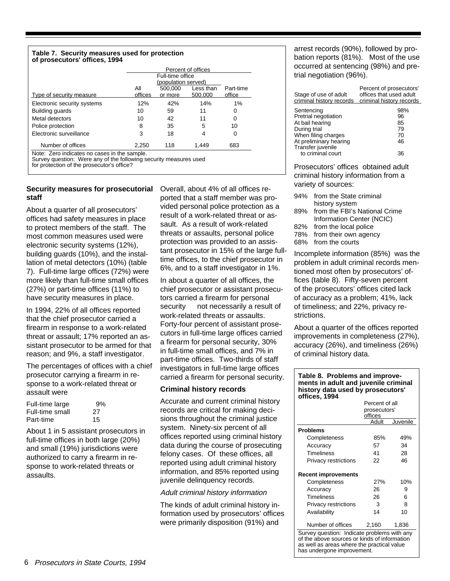#### **Table 7. Security measures used for protection of prosecutors' offices, 1994**

|                                                                                                                   | Percent of offices                      |         |           |           |  |  |
|-------------------------------------------------------------------------------------------------------------------|-----------------------------------------|---------|-----------|-----------|--|--|
|                                                                                                                   | Full-time office<br>(population served) |         |           |           |  |  |
|                                                                                                                   | Αll                                     | 500,000 | Less than | Part-time |  |  |
| Type of security measure                                                                                          | offices                                 | or more | 500.000   | office    |  |  |
| Electronic security systems                                                                                       | 12%                                     | 42%     | 14%       | 1%        |  |  |
| Building guards                                                                                                   | 10                                      | 59      | 11        | 0         |  |  |
| Metal detectors                                                                                                   | 10                                      | 42      | 11        | 0         |  |  |
| Police protection                                                                                                 | 8                                       | 35      | 5         | 10        |  |  |
| Electronic surveillance                                                                                           | 3                                       | 18      |           | 0         |  |  |
| Number of offices                                                                                                 | 2,250                                   | 118     | 1.449     | 683       |  |  |
| Note: Zero indicates no cases in the sample.<br>Survey question: Were any of the following security measures used |                                         |         |           |           |  |  |

for protection of the prosecutor's office?

# **Security measures for prosecutorial staff**

About a quarter of all prosecutors' offices had safety measures in place to protect members of the staff. The most common measures used were electronic security systems (12%), building guards (10%), and the installation of metal detectors (10%) (table 7). Full-time large offices (72%) were more likely than full-time small offices (27%) or part-time offices (11%) to have security measures in place.

In 1994, 22% of all offices reported that the chief prosecutor carried a firearm in response to a work-related threat or assault; 17% reported an assistant prosecutor to be armed for that reason; and 9%, a staff investigator.

The percentages of offices with a chief prosecutor carrying a firearm in response to a work-related threat or assault were

| Full-time large | 9%  |
|-----------------|-----|
| Full-time small | -27 |
| Part-time       | 15  |

About 1 in 5 assistant prosecutors in full-time offices in both large (20%) and small (19%) jurisdictions were authorized to carry a firearm in response to work-related threats or assaults.

Overall, about 4% of all offices reported that a staff member was provided personal police protection as a result of a work-related threat or assault. As a result of work-related threats or assaults, personal police protection was provided to an assistant prosecutor in 15% of the large fulltime offices, to the chief prosecutor in 6%, and to a staff investigator in 1%.

In about a quarter of all offices, the chief prosecutor or assistant prosecutors carried a firearm for personal security - not necessarily a result of work-related threats or assaults. Forty-four percent of assistant prosecutors in full-time large offices carried a firearm for personal security, 30% in full-time small offices, and 7% in part-time offices. Two-thirds of staff investigators in full-time large offices carried a firearm for personal security.

# **Criminal history records**

Accurate and current criminal history records are critical for making decisions throughout the criminal justice system. Ninety-six percent of all offices reported using criminal history data during the course of prosecuting felony cases. Of these offices, all reported using adult criminal history information, and 85% reported using juvenile delinquency records.

## Adult criminal history information

The kinds of adult criminal history information used by prosecutors' offices were primarily disposition (91%) and

arrest records (90%), followed by probation reports (81%). Most of the use occurred at sentencing (98%) and pretrial negotiation (96%).

| Stage of use of adult<br>criminal history records                                                                                                                | Percent of prosecutors'<br>offices that used adult<br>criminal history records |
|------------------------------------------------------------------------------------------------------------------------------------------------------------------|--------------------------------------------------------------------------------|
| Sentencing<br>Pretrial negotiation<br>At bail hearing<br>During trial<br>When filing charges<br>At preliminary hearing<br>Transfer juvenile<br>to criminal court | 98%<br>96<br>85<br>79<br>70<br>46<br>36                                        |

Prosecutors' offices obtained adult criminal history information from a variety of sources:

| 94% from the State criminal |
|-----------------------------|
| history system              |

- 89% from the FBI's National Crime Information Center (NCIC)
- 82% from the local police
- 78% from their own agency
- 68% from the courts

Incomplete information (85%) was the problem in adult criminal records mentioned most often by prosecutors' offices (table 8). Fifty-seven percent of the prosecutors' offices cited lack of accuracy as a problem; 41%, lack of timeliness; and 22%, privacy restrictions.

About a quarter of the offices reported improvements in completeness (27%), accuracy (26%), and timeliness (26%) of criminal history data.

#### **Table 8. Problems and improvements in adult and juvenile criminal history data used by prosecutors' offices, 1994**

|                                                                                                                                                                         | Percent of all |          |  |  |
|-------------------------------------------------------------------------------------------------------------------------------------------------------------------------|----------------|----------|--|--|
|                                                                                                                                                                         | prosecutors'   |          |  |  |
|                                                                                                                                                                         | offices        |          |  |  |
|                                                                                                                                                                         | Adult          | Juvenile |  |  |
| <b>Problems</b>                                                                                                                                                         |                |          |  |  |
| Completeness                                                                                                                                                            | 85%            | 49%      |  |  |
| Accuracy                                                                                                                                                                | 57             | 34       |  |  |
| <b>Timeliness</b>                                                                                                                                                       | 41             | 28       |  |  |
| Privacy restrictions                                                                                                                                                    | 22             | 46       |  |  |
|                                                                                                                                                                         |                |          |  |  |
| <b>Recent improvements</b>                                                                                                                                              |                |          |  |  |
| Completeness                                                                                                                                                            | 27%            | 10%      |  |  |
| Accuracy                                                                                                                                                                | 26             | 9        |  |  |
| <b>Timeliness</b>                                                                                                                                                       | 26             | 6        |  |  |
| Privacy restrictions                                                                                                                                                    | 3              | 8        |  |  |
| Availability                                                                                                                                                            | 14             | 10       |  |  |
| Number of offices                                                                                                                                                       | 2,160          | 1,836    |  |  |
| Survey question: Indicate problems with any<br>of the above sources or kinds of information<br>as well as areas where the practical value<br>has undergone improvement. |                |          |  |  |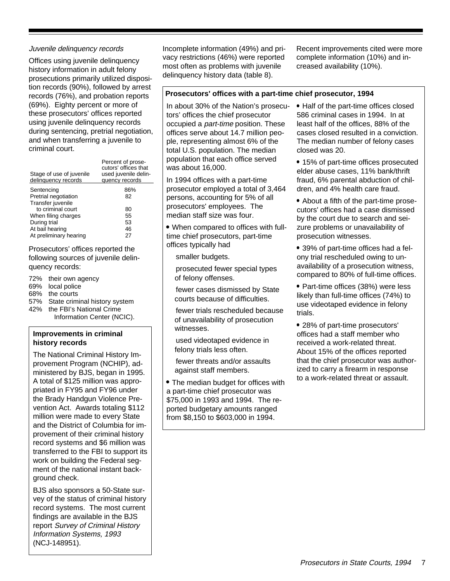# Juvenile delinquency records

Offices using juvenile delinquency history information in adult felony prosecutions primarily utilized disposition records (90%), followed by arrest records (76%), and probation reports (69%). Eighty percent or more of these prosecutors' offices reported using juvenile delinquency records during sentencing, pretrial negotiation, and when transferring a juvenile to criminal court.

| Stage of use of juvenile<br>delinquency records | Percent of prose-<br>cutors' offices that<br>used juvenile delin-<br>quency records |
|-------------------------------------------------|-------------------------------------------------------------------------------------|
| Sentencing                                      | 86%                                                                                 |
| Pretrial negotiation                            | 82                                                                                  |
| Transfer juvenile<br>to criminal court          | 80                                                                                  |
| When filing charges                             | 55                                                                                  |
| During trial                                    | 53                                                                                  |
| At bail hearing                                 | 46                                                                                  |
| At preliminary hearing                          | 27                                                                                  |

Prosecutors' offices reported the following sources of juvenile delinquency records:

- 72% their own agency
- 69% local police
- 68% the courts
- 57% State criminal history system 42% the FBI's National Crime Information Center (NCIC).

# **Improvements in criminal history records**

The National Criminal History Improvement Program (NCHIP), administered by BJS, began in 1995. A total of \$125 million was appropriated in FY95 and FY96 under the Brady Handgun Violence Prevention Act. Awards totaling \$112 million were made to every State and the District of Columbia for improvement of their criminal history record systems and \$6 million was transferred to the FBI to support its work on building the Federal segment of the national instant background check.

BJS also sponsors a 50-State survey of the status of criminal history record systems. The most current findings are available in the BJS report Survey of Criminal History Information Systems, 1993 (NCJ-148951).

Incomplete information (49%) and privacy restrictions (46%) were reported most often as problems with juvenile delinquency history data (table 8).

Recent improvements cited were more complete information (10%) and increased availability (10%).

# **Prosecutors' offices with a part-time chief prosecutor, 1994**

In about 30% of the Nation's prosecutors' offices the chief prosecutor occupied a part-time position. These offices serve about 14.7 million people, representing almost 6% of the total U.S. population. The median population that each office served was about 16,000.

In 1994 offices with a part-time prosecutor employed a total of 3,464 persons, accounting for 5% of all prosecutors' employees. The median staff size was four.

 When compared to offices with fulltime chief prosecutors, part-time offices typically had

- smaller budgets.
- prosecuted fewer special types of felony offenses.
- fewer cases dismissed by State courts because of difficulties.
- fewer trials rescheduled because of unavailability of prosecution witnesses.
- used videotaped evidence in felony trials less often.
- fewer threats and/or assaults against staff members.

 The median budget for offices with a part-time chief prosecutor was \$75,000 in 1993 and 1994. The reported budgetary amounts ranged from \$8,150 to \$603,000 in 1994.

- Half of the part-time offices closed 586 criminal cases in 1994. In at least half of the offices, 88% of the cases closed resulted in a conviction. The median number of felony cases closed was 20.
- 15% of part-time offices prosecuted elder abuse cases, 11% bank/thrift fraud, 6% parental abduction of children, and 4% health care fraud.
- About a fifth of the part-time prosecutors' offices had a case dismissed by the court due to search and seizure problems or unavailability of prosecution witnesses.
- 39% of part-time offices had a felony trial rescheduled owing to unavailability of a prosecution witness, compared to 80% of full-time offices.
- Part-time offices (38%) were less likely than full-time offices (74%) to use videotaped evidence in felony trials.
- 28% of part-time prosecutors' offices had a staff member who received a work-related threat. About 15% of the offices reported that the chief prosecutor was authorized to carry a firearm in response to a work-related threat or assault.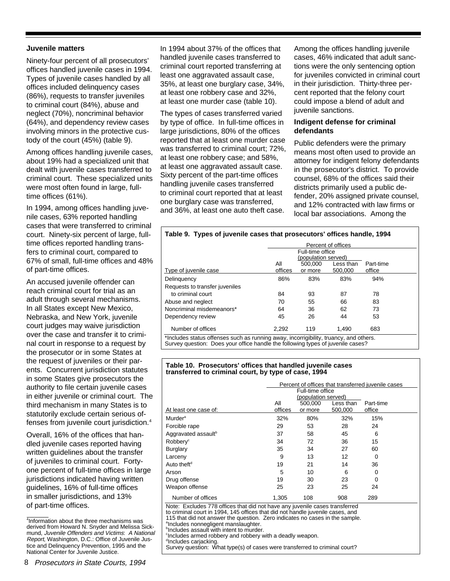## **Juvenile matters**

Ninety-four percent of all prosecutors' offices handled juvenile cases in 1994. Types of juvenile cases handled by all offices included delinquency cases (86%), requests to transfer juveniles to criminal court (84%), abuse and neglect (70%), noncriminal behavior (64%), and dependency review cases involving minors in the protective custody of the court (45%) (table 9).

Among offices handling juvenile cases, about 19% had a specialized unit that dealt with juvenile cases transferred to criminal court. These specialized units were most often found in large, fulltime offices (61%).

In 1994, among offices handling juvenile cases, 63% reported handling cases that were transferred to criminal court. Ninety-six percent of large, fulltime offices reported handling transfers to criminal court, compared to 67% of small, full-time offices and 48% of part-time offices.

An accused juvenile offender can reach criminal court for trial as an adult through several mechanisms. In all States except New Mexico, Nebraska, and New York, juvenile court judges may waive jurisdiction over the case and transfer it to criminal court in response to a request by the prosecutor or in some States at the request of juveniles or their parents. Concurrent jurisdiction statutes in some States give prosecutors the authority to file certain juvenile cases in either juvenile or criminal court. The third mechanism in many States is to statutorily exclude certain serious offenses from juvenile court jurisdiction.4

Overall, 16% of the offices that handled juvenile cases reported having written guidelines about the transfer of juveniles to criminal court. Fortyone percent of full-time offices in large jurisdictions indicated having written guidelines, 16% of full-time offices in smaller jurisdictions, and 13% of part-time offices.

4 Information about the three mechanisms was derived from Howard N. Snyder and Melissa Sickmund, Juvenile Offenders and Victims: A National Report, Washington, D.C.: Office of Juvenile Justice and Delinquency Prevention, 1995 and the National Center for Juvenile Justice.

In 1994 about 37% of the offices that handled juvenile cases transferred to criminal court reported transferring at least one aggravated assault case, 35%, at least one burglary case, 34%, at least one robbery case and 32%, at least one murder case (table 10).

The types of cases transferred varied by type of office. In full-time offices in large jurisdictions, 80% of the offices reported that at least one murder case was transferred to criminal court; 72%, at least one robbery case; and 58%, at least one aggravated assault case. Sixty percent of the part-time offices handling juvenile cases transferred to criminal court reported that at least one burglary case was transferred, and 36%, at least one auto theft case.

Among the offices handling juvenile cases, 46% indicated that adult sanctions were the only sentencing option for juveniles convicted in criminal court in their jurisdiction. Thirty-three percent reported that the felony court could impose a blend of adult and juvenile sanctions.

# **Indigent defense for criminal defendants**

Public defenders were the primary means most often used to provide an attorney for indigent felony defendants in the prosecutor's district. To provide counsel, 68% of the offices said their districts primarily used a public defender, 20% assigned private counsel, and 12% contracted with law firms or local bar associations. Among the

|                                |                                         |                    | Percent of offices   |                     |
|--------------------------------|-----------------------------------------|--------------------|----------------------|---------------------|
|                                | Full-time office<br>(population served) |                    |                      |                     |
| Type of juvenile case          | Αll<br>offices                          | 500.000<br>or more | Less than<br>500.000 | Part-time<br>office |
| Delinguency                    | 86%                                     | 83%                | 83%                  | 94%                 |
| Requests to transfer juveniles |                                         |                    |                      |                     |
| to criminal court              | 84                                      | 93                 | 87                   | 78                  |
| Abuse and neglect              | 70                                      | 55                 | 66                   | 83                  |
| Noncriminal misdemeanors*      | 64                                      | 36                 | 62                   | 73                  |
| Dependency review              | 45                                      | 26                 | 44                   | 53                  |
| Number of offices              | 2,292                                   | 119                | 1.490                | 683                 |

#### **Table 10. Prosecutors' offices that handled juvenile cases transferred to criminal court, by type of case, 1994**

|                                                                                                                                                               | Percent of offices that transferred juvenile cases<br>Full-time office |                                           |                      |                     |
|---------------------------------------------------------------------------------------------------------------------------------------------------------------|------------------------------------------------------------------------|-------------------------------------------|----------------------|---------------------|
| At least one case of:                                                                                                                                         | ΑIΙ<br>offices                                                         | (population served)<br>500.000<br>or more | Less than<br>500,000 | Part-time<br>office |
| Murder <sup>a</sup>                                                                                                                                           | 32%                                                                    | 80%                                       | 32%                  | 15%                 |
| Forcible rape                                                                                                                                                 | 29                                                                     | 53                                        | 28                   | 24                  |
| Aggravated assault <sup>b</sup>                                                                                                                               | 37                                                                     | 58                                        | 45                   | 6                   |
| Robbery <sup>c</sup>                                                                                                                                          | 34                                                                     | 72                                        | 36                   | 15                  |
| <b>Burglary</b>                                                                                                                                               | 35                                                                     | 34                                        | 27                   | 60                  |
| Larceny                                                                                                                                                       | 9                                                                      | 13                                        | 12                   | 0                   |
| Auto theft <sup>d</sup>                                                                                                                                       | 19                                                                     | 21                                        | 14                   | 36                  |
| Arson                                                                                                                                                         | 5                                                                      | 10                                        | 6                    | 0                   |
| Drug offense                                                                                                                                                  | 19                                                                     | 30                                        | 23                   | 0                   |
| Weapon offense                                                                                                                                                | 25                                                                     | 23                                        | 25                   | 24                  |
| Number of offices                                                                                                                                             | 1,305                                                                  | 108                                       | 908                  | 289                 |
| Note: Excludes 778 offices that did not have any juvenile cases transferred<br>to criminal court in 1994, 145 offices that did not handle juvenile cases, and |                                                                        |                                           |                      |                     |

115 that did not answer the question. Zero indicates no cases in the sample.

a Includes nonnegligent manslaughter.

b Includes assault with intent to murder.

<sup>c</sup>Includes armed robbery and robbery with a deadly weapon.

<sup>d</sup>Includes carjacking.<br>Survey question: What type(s) of cases were transferred to criminal court?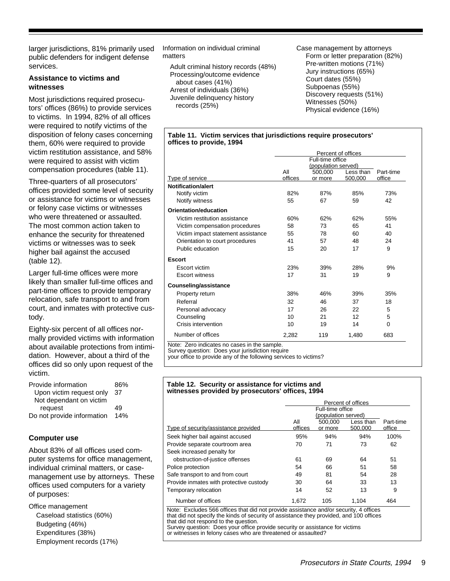larger jurisdictions, 81% primarily used public defenders for indigent defense services.

# **Assistance to victims and witnesses**

Most jurisdictions required prosecutors' offices (86%) to provide services to victims. In 1994, 82% of all offices were required to notify victims of the disposition of felony cases concerning them, 60% were required to provide victim restitution assistance, and 58% were required to assist with victim compensation procedures (table 11).

Three-quarters of all prosecutors' offices provided some level of security or assistance for victims or witnesses or felony case victims or witnesses who were threatened or assaulted. The most common action taken to enhance the security for threatened victims or witnesses was to seek higher bail against the accused (table 12).

Larger full-time offices were more likely than smaller full-time offices and part-time offices to provide temporary relocation, safe transport to and from court, and inmates with protective custody.

Eighty-six percent of all offices normally provided victims with information about available protections from intimidation. However, about a third of the offices did so only upon request of the victim.

| Provide information        | 86% |
|----------------------------|-----|
| Upon victim request only   | 37  |
| Not dependant on victim    |     |
| request                    | 49  |
| Do not provide information | 14% |

# **Computer use**

About 83% of all offices used computer systems for office management, individual criminal matters, or casemanagement use by attorneys. These offices used computers for a variety of purposes:

Office management Caseload statistics (60%) Budgeting (46%) Expenditures (38%) Employment records (17%) Information on individual criminal matters

 Adult criminal history records (48%) Processing/outcome evidence about cases (41%) Arrest of individuals (36%) Juvenile delinquency history records (25%)

Case management by attorneys Form or letter preparation (82%) Pre-written motions (71%) Jury instructions (65%) Court dates (55%) Subpoenas (55%) Discovery requests (51%) Witnesses (50%) Physical evidence (16%)

#### **Table 11. Victim services that jurisdictions require prosecutors' offices to provide, 1994**

|                                    | Percent of offices  |         |           |                     |
|------------------------------------|---------------------|---------|-----------|---------------------|
|                                    | Full-time office    |         |           |                     |
|                                    | (population served) |         |           |                     |
|                                    | All<br>offices      | 500.000 | Less than | Part-time<br>office |
| Type of service                    |                     | or more | 500,000   |                     |
| <b>Notification/alert</b>          |                     |         |           |                     |
| Notify victim                      | 82%                 | 87%     | 85%       | 73%                 |
| Notify witness                     | 55                  | 67      | 59        | 42                  |
| Orientation/education              |                     |         |           |                     |
| Victim restitution assistance      | 60%                 | 62%     | 62%       | 55%                 |
| Victim compensation procedures     | 58                  | 73      | 65        | 41                  |
| Victim impact statement assistance | 55                  | 78      | 60        | 40                  |
| Orientation to court procedures    | 41                  | 57      | 48        | 24                  |
| Public education                   | 15                  | 20      | 17        | 9                   |
| <b>Escort</b>                      |                     |         |           |                     |
| Escort victim                      | 23%                 | 39%     | 28%       | 9%                  |
| <b>Escort witness</b>              | 17                  | 31      | 19        | 9                   |
| <b>Counseling/assistance</b>       |                     |         |           |                     |
| Property return                    | 38%                 | 46%     | 39%       | 35%                 |
| Referral                           | 32                  | 46      | 37        | 18                  |
| Personal advocacy                  | 17                  | 26      | 22        | 5                   |
| Counseling                         | 10                  | 21      | 12        | 5                   |
| Crisis intervention                | 10                  | 19      | 14        | 0                   |
| Number of offices                  | 2,282               | 119     | 1,480     | 683                 |

Note: Zero indicates no cases in the sample. Survey question: Does your jurisdiction require

your office to provide any of the following services to victims?

#### **Table 12. Security or assistance for victims and witnesses provided by prosecutors' offices, 1994**

|                                                                                                                       |         | Percent of offices                      |           |           |  |
|-----------------------------------------------------------------------------------------------------------------------|---------|-----------------------------------------|-----------|-----------|--|
|                                                                                                                       |         | Full-time office<br>(population served) |           |           |  |
|                                                                                                                       |         |                                         |           |           |  |
|                                                                                                                       | All     | 500,000                                 | Less than | Part-time |  |
| Type of security/assistance provided                                                                                  | offices | or more                                 | 500.000   | office    |  |
| Seek higher bail against accused                                                                                      | 95%     | 94%                                     | 94%       | 100%      |  |
| Provide separate courtroom area                                                                                       | 70      | 71                                      | 73        | 62        |  |
| Seek increased penalty for                                                                                            |         |                                         |           |           |  |
| obstruction-of-justice offenses                                                                                       | 61      | 69                                      | 64        | 51        |  |
| Police protection                                                                                                     | 54      | 66                                      | 51        | 58        |  |
| Safe transport to and from court                                                                                      | 49      | 81                                      | 54        | 28        |  |
| Provide inmates with protective custody                                                                               | 30      | 64                                      | 33        | 13        |  |
| Temporary relocation                                                                                                  | 14      | 52                                      | 13        | 9         |  |
| Number of offices                                                                                                     | 1.672   | 105                                     | 1.104     | 464       |  |
| Note: Excludes 566 offices that did not provide assistance and/or security, 4 offices                                 |         |                                         |           |           |  |
| that did not specify the kinds of security of assistance they provided, and 100 offices                               |         |                                         |           |           |  |
| that did not respond to the question.<br>Survey question: Does your office provide security or assistance for victims |         |                                         |           |           |  |

Survey question: Does your office provide security or assistance for victims or witnesses in felony cases who are threatened or assaulted?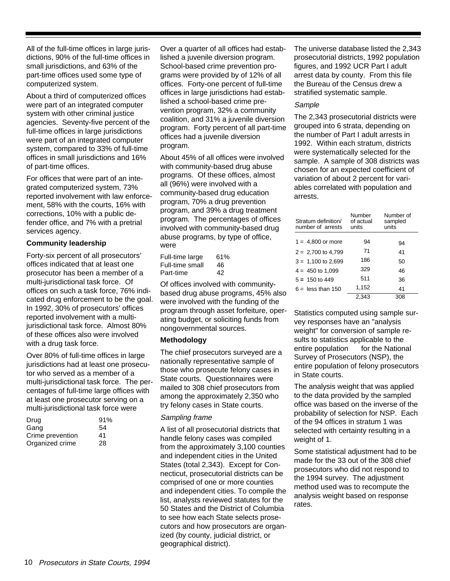All of the full-time offices in large jurisdictions, 90% of the full-time offices in small jurisdictions, and 63% of the part-time offices used some type of computerized system.

About a third of computerized offices were part of an integrated computer system with other criminal justice agencies. Seventy-five percent of the full-time offices in large jurisdictions were part of an integrated computer system, compared to 33% of full-time offices in small jurisdictions and 16% of part-time offices.

For offices that were part of an integrated computerized system, 73% reported involvement with law enforcement, 58% with the courts, 16% with corrections, 10% with a public defender office, and 7% with a pretrial services agency.

## **Community leadership**

Forty-six percent of all prosecutors' offices indicated that at least one prosecutor has been a member of a multi-jurisdictional task force. Of offices on such a task force, 76% indicated drug enforcement to be the goal. In 1992, 30% of prosecutors' offices reported involvement with a multijurisdictional task force. Almost 80% of these offices also were involved with a drug task force.

Over 80% of full-time offices in large jurisdictions had at least one prosecutor who served as a member of a multi-jurisdictional task force. The percentages of full-time large offices with at least one prosecutor serving on a multi-jurisdictional task force were

| Drug             | 91% |
|------------------|-----|
| Gang             | 54  |
| Crime prevention | 41  |
| Organized crime  | 28  |

Over a quarter of all offices had established a juvenile diversion program. School-based crime prevention programs were provided by of 12% of all offices. Forty-one percent of full-time offices in large jurisdictions had established a school-based crime prevention program, 32% a community coalition, and 31% a juvenile diversion program. Forty percent of all part-time offices had a juvenile diversion program.

About 45% of all offices were involved with community-based drug abuse programs. Of these offices, almost all (96%) were involved with a community-based drug education program, 70% a drug prevention program, and 39% a drug treatment program. The percentages of offices involved with community-based drug abuse programs, by type of office, were —

| Full-time large | 61% |
|-----------------|-----|
| Full-time small | 46  |
| Part-time       | 42  |

Of offices involved with communitybased drug abuse programs, 45% also were involved with the funding of the program through asset forfeiture, operating budget, or soliciting funds from nongovernmental sources.

#### **Methodology**

The chief prosecutors surveyed are a nationally representative sample of those who prosecute felony cases in State courts. Questionnaires were mailed to 308 chief prosecutors from among the approximately 2,350 who try felony cases in State courts.

## Sampling frame

A list of all prosecutorial districts that handle felony cases was compiled from the approximately 3,100 counties and independent cities in the United States (total 2,343). Except for Connecticut, prosecutorial districts can be comprised of one or more counties and independent cities. To compile the list, analysts reviewed statutes for the 50 States and the District of Columbia to see how each State selects prosecutors and how prosecutors are organized (by county, judicial district, or geographical district).

The universe database listed the 2,343 prosecutorial districts, 1992 population figures, and 1992 UCR Part I adult arrest data by county. From this file the Bureau of the Census drew a stratified systematic sample.

#### **Sample**

The 2,343 prosecutorial districts were grouped into 6 strata, depending on the number of Part I adult arrests in 1992. Within each stratum, districts were systematically selected for the sample. A sample of 308 districts was chosen for an expected coefficient of variation of about 2 percent for variables correlated with population and arrests.

| Stratum definition/<br>number of arrests | Number<br>of actual<br>units | Number of<br>sampled<br>units |
|------------------------------------------|------------------------------|-------------------------------|
|                                          |                              |                               |
| $1 = 4,800$ or more                      | 94                           | 94                            |
| $2 = 2,700$ to 4,799                     | 71                           | 41                            |
| $3 = 1,100$ to 2,699                     | 186                          | 50                            |
| $4 = 450$ to 1,099                       | 329                          | 46                            |
| $5 = 150$ to 449                         | 511                          | 36                            |
| $6 =$ less than 150                      | 1,152                        | 41                            |
|                                          | 2.343                        | 308                           |

Statistics computed using sample survey responses have an "analysis weight" for conversion of sample results to statistics applicable to the  $entire population — for the National$ Survey of Prosecutors (NSP), the entire population of felony prosecutors in State courts.

The analysis weight that was applied to the data provided by the sampled office was based on the inverse of the probability of selection for NSP. Each of the 94 offices in stratum 1 was selected with certainty resulting in a weight of 1.

Some statistical adjustment had to be made for the 33 out of the 308 chief prosecutors who did not respond to the 1994 survey. The adjustment method used was to recompute the analysis weight based on response rates.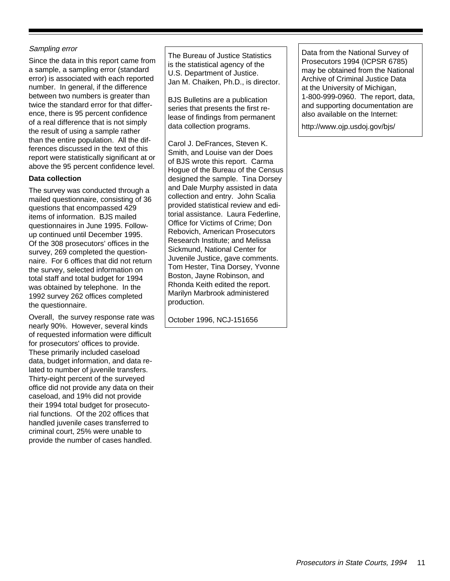# Sampling error

Since the data in this report came from a sample, a sampling error (standard error) is associated with each reported number. In general, if the difference between two numbers is greater than twice the standard error for that difference, there is 95 percent confidence of a real difference that is not simply the result of using a sample rather than the entire population. All the differences discussed in the text of this report were statistically significant at or above the 95 percent confidence level.

# **Data collection**

The survey was conducted through a mailed questionnaire, consisting of 36 questions that encompassed 429 items of information. BJS mailed questionnaires in June 1995. Followup continued until December 1995. Of the 308 prosecutors' offices in the survey, 269 completed the questionnaire. For 6 offices that did not return the survey, selected information on total staff and total budget for 1994 was obtained by telephone. In the 1992 survey 262 offices completed the questionnaire.

Overall, the survey response rate was nearly 90%. However, several kinds of requested information were difficult for prosecutors' offices to provide. These primarily included caseload data, budget information, and data related to number of juvenile transfers. Thirty-eight percent of the surveyed office did not provide any data on their caseload, and 19% did not provide their 1994 total budget for prosecutorial functions. Of the 202 offices that handled juvenile cases transferred to criminal court, 25% were unable to provide the number of cases handled.

The Bureau of Justice Statistics is the statistical agency of the U.S. Department of Justice. Jan M. Chaiken, Ph.D., is director.

BJS Bulletins are a publication series that presents the first release of findings from permanent data collection programs.

Carol J. DeFrances, Steven K. Smith, and Louise van der Does of BJS wrote this report. Carma Hogue of the Bureau of the Census designed the sample. Tina Dorsey and Dale Murphy assisted in data collection and entry. John Scalia provided statistical review and editorial assistance. Laura Federline, Office for Victims of Crime; Don Rebovich, American Prosecutors Research Institute; and Melissa Sickmund, National Center for Juvenile Justice, gave comments. Tom Hester, Tina Dorsey, Yvonne Boston, Jayne Robinson, and Rhonda Keith edited the report. Marilyn Marbrook administered production.

October 1996, NCJ-151656

Data from the National Survey of Prosecutors 1994 (ICPSR 6785) may be obtained from the National Archive of Criminal Justice Data at the University of Michigan, 1-800-999-0960. The report, data, and supporting documentation are also available on the Internet:

http://www.ojp.usdoj.gov/bjs/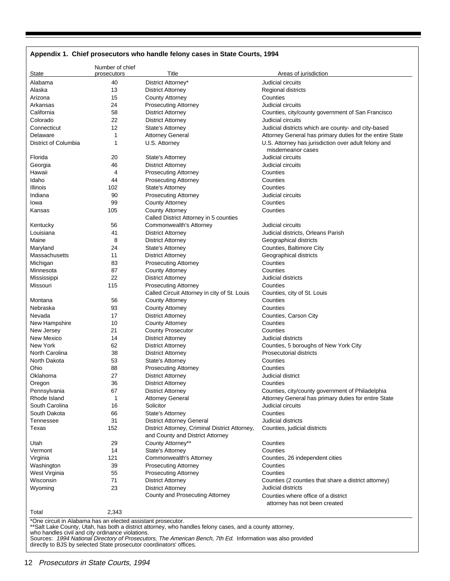| Appendix 1. Chief prosecutors who handle felony cases in State Courts, 1994 |                                |                                                                                    |                                                                                                                  |  |  |
|-----------------------------------------------------------------------------|--------------------------------|------------------------------------------------------------------------------------|------------------------------------------------------------------------------------------------------------------|--|--|
| State                                                                       | Number of chief<br>prosecutors | Title                                                                              | Areas of jurisdiction                                                                                            |  |  |
| Alabama                                                                     |                                |                                                                                    | Judicial circuits                                                                                                |  |  |
|                                                                             | 40                             | District Attorney*                                                                 |                                                                                                                  |  |  |
| Alaska                                                                      | 13                             | <b>District Attorney</b>                                                           | <b>Regional districts</b>                                                                                        |  |  |
| Arizona                                                                     | 15                             | <b>County Attorney</b>                                                             | Counties                                                                                                         |  |  |
| Arkansas                                                                    | 24                             | <b>Prosecuting Attorney</b>                                                        | Judicial circuits                                                                                                |  |  |
| California                                                                  | 58                             | <b>District Attorney</b>                                                           | Counties, city/county government of San Francisco                                                                |  |  |
| Colorado                                                                    | 22                             | District Attorney                                                                  | Judicial circuits                                                                                                |  |  |
| Connecticut                                                                 | 12                             | <b>State's Attorney</b>                                                            | Judicial districts which are county- and city-based                                                              |  |  |
| Delaware<br>District of Columbia                                            | 1<br>1                         | <b>Attorney General</b><br>U.S. Attorney                                           | Attorney General has primary duties for the entire State<br>U.S. Attorney has jurisdiction over adult felony and |  |  |
|                                                                             |                                |                                                                                    | misdemeanor cases                                                                                                |  |  |
| Florida                                                                     | 20                             | State's Attorney                                                                   | Judicial circuits                                                                                                |  |  |
| Georgia                                                                     | 46                             | <b>District Attorney</b>                                                           | Judicial circuits                                                                                                |  |  |
| Hawaii                                                                      | 4                              | <b>Prosecuting Attorney</b>                                                        | Counties                                                                                                         |  |  |
| Idaho                                                                       | 44                             | <b>Prosecuting Attorney</b>                                                        | Counties                                                                                                         |  |  |
| Illinois                                                                    | 102                            | State's Attorney                                                                   | Counties                                                                                                         |  |  |
| Indiana                                                                     | 90                             | <b>Prosecuting Attorney</b>                                                        | Judicial circuits                                                                                                |  |  |
| lowa                                                                        | 99                             | <b>County Attorney</b>                                                             | Counties                                                                                                         |  |  |
| Kansas                                                                      | 105                            | <b>County Attorney</b>                                                             | Counties                                                                                                         |  |  |
|                                                                             |                                | Called District Attorney in 5 counties                                             |                                                                                                                  |  |  |
| Kentucky                                                                    | 56                             | Commonwealth's Attorney                                                            | Judicial circuits                                                                                                |  |  |
| Louisiana                                                                   | 41                             | <b>District Attorney</b>                                                           | Judicial districts, Orleans Parish                                                                               |  |  |
| Maine                                                                       | 8                              | <b>District Attorney</b>                                                           | Geographical districts                                                                                           |  |  |
| Maryland                                                                    | 24                             | State's Attorney                                                                   | Counties, Baltimore City                                                                                         |  |  |
| Massachusetts                                                               | 11                             | <b>District Attorney</b>                                                           | Geographical districts                                                                                           |  |  |
| Michigan                                                                    | 83                             | <b>Prosecuting Attorney</b>                                                        | Counties                                                                                                         |  |  |
| Minnesota                                                                   | 87                             | <b>County Attorney</b>                                                             | Counties                                                                                                         |  |  |
| Mississippi                                                                 | 22                             | <b>District Attorney</b>                                                           | Judicial districts                                                                                               |  |  |
| Missouri                                                                    | 115                            | <b>Prosecuting Attorney</b>                                                        | Counties                                                                                                         |  |  |
|                                                                             |                                |                                                                                    |                                                                                                                  |  |  |
| Montana                                                                     |                                | Called Circuit Attorney in city of St. Louis                                       | Counties, city of St. Louis<br>Counties                                                                          |  |  |
| Nebraska                                                                    | 56<br>93                       | <b>County Attorney</b>                                                             | Counties                                                                                                         |  |  |
|                                                                             |                                | <b>County Attorney</b>                                                             |                                                                                                                  |  |  |
| Nevada                                                                      | 17<br>10                       | <b>District Attorney</b>                                                           | Counties, Carson City<br>Counties                                                                                |  |  |
| New Hampshire                                                               |                                | <b>County Attorney</b>                                                             | Counties                                                                                                         |  |  |
| New Jersey                                                                  | 21                             | <b>County Prosecutor</b>                                                           |                                                                                                                  |  |  |
| New Mexico                                                                  | 14                             | <b>District Attorney</b>                                                           | Judicial districts                                                                                               |  |  |
| New York                                                                    | 62                             | <b>District Attorney</b>                                                           | Counties, 5 boroughs of New York City                                                                            |  |  |
| North Carolina                                                              | 38                             | <b>District Attorney</b>                                                           | <b>Prosecutorial districts</b>                                                                                   |  |  |
| North Dakota                                                                | 53                             | State's Attorney                                                                   | Counties                                                                                                         |  |  |
| Ohio                                                                        | 88                             | <b>Prosecuting Attorney</b>                                                        | Counties                                                                                                         |  |  |
| Oklahoma                                                                    | 27                             | <b>District Attorney</b>                                                           | Judicial district                                                                                                |  |  |
| Oregon                                                                      | 36                             | <b>District Attorney</b>                                                           | Counties                                                                                                         |  |  |
| Pennsylvania                                                                | 67                             | <b>District Attorney</b>                                                           | Counties, city/county government of Philadelphia                                                                 |  |  |
| Rhode Island                                                                | 1                              | <b>Attorney General</b>                                                            | Attorney General has primary duties for entire State                                                             |  |  |
| South Carolina                                                              | 16                             | Solicitor                                                                          | Judicial circuits                                                                                                |  |  |
| South Dakota                                                                | 66                             | State's Attorney                                                                   | Counties                                                                                                         |  |  |
| Tennessee                                                                   | 31                             | <b>District Attorney General</b>                                                   | Judicial districts                                                                                               |  |  |
| Texas                                                                       | 152                            | District Attorney, Criminal District Attorney,<br>and County and District Attorney | Counties, judicial districts                                                                                     |  |  |
| Utah                                                                        | 29                             | County Attorney**                                                                  | Counties                                                                                                         |  |  |
| Vermont                                                                     | 14                             | State's Attorney                                                                   | Counties                                                                                                         |  |  |
| Virginia                                                                    | 121                            | Commonwealth's Attorney                                                            | Counties, 26 independent cities                                                                                  |  |  |
| Washington                                                                  | 39                             | <b>Prosecuting Attorney</b>                                                        | Counties                                                                                                         |  |  |
| West Virginia                                                               | 55                             | <b>Prosecuting Attorney</b>                                                        | Counties                                                                                                         |  |  |
| Wisconsin                                                                   | 71                             | <b>District Attorney</b>                                                           | Counties (2 counties that share a district attorney)                                                             |  |  |
| Wyoming                                                                     | 23                             | <b>District Attorney</b>                                                           | Judicial districts                                                                                               |  |  |
|                                                                             |                                | County and Prosecuting Attorney                                                    | Counties where office of a district                                                                              |  |  |
|                                                                             |                                |                                                                                    | attorney has not been created                                                                                    |  |  |
| Total                                                                       | 2,343                          |                                                                                    |                                                                                                                  |  |  |
|                                                                             |                                |                                                                                    |                                                                                                                  |  |  |

\*One circuit in Alabama has an elected assistant prosecutor.

\*\*Salt Lake County, Utah, has both a district attorney, who handles felony cases, and a county attorney,<br>who handles civil and city ordinance violations.<br>Sources: *1994 National Directory of Prosecutors, The American Bench*